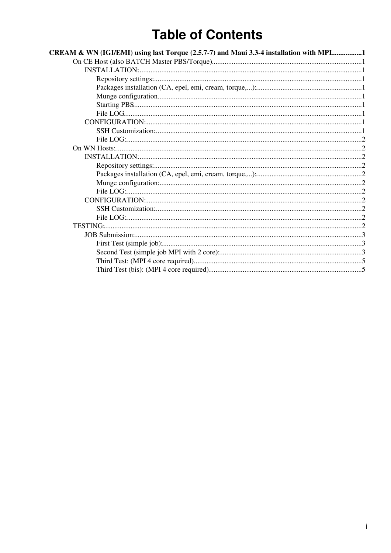# **Table of Contents**

| CREAM & WN (IGI/EMI) using last Torque (2.5.7-7) and Maui 3.3-4 installation with MPL1 |  |
|----------------------------------------------------------------------------------------|--|
|                                                                                        |  |
|                                                                                        |  |
|                                                                                        |  |
|                                                                                        |  |
|                                                                                        |  |
|                                                                                        |  |
|                                                                                        |  |
|                                                                                        |  |
|                                                                                        |  |
|                                                                                        |  |
|                                                                                        |  |
|                                                                                        |  |
|                                                                                        |  |
|                                                                                        |  |
|                                                                                        |  |
|                                                                                        |  |
|                                                                                        |  |
|                                                                                        |  |
|                                                                                        |  |
|                                                                                        |  |
|                                                                                        |  |
|                                                                                        |  |
|                                                                                        |  |
|                                                                                        |  |
|                                                                                        |  |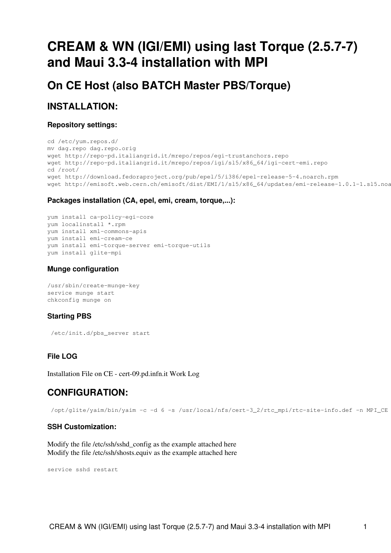# <span id="page-1-0"></span>**CREAM & WN (IGI/EMI) using last Torque (2.5.7-7) and Maui 3.3-4 installation with MPI**

<span id="page-1-1"></span>**On CE Host (also BATCH Master PBS/Torque)**

# <span id="page-1-2"></span>**INSTALLATION:**

## <span id="page-1-3"></span>**Repository settings:**

```
cd /etc/yum.repos.d/
mv dag.repo dag.repo.orig
wget http://repo-pd.italiangrid.it/mrepo/repos/egi-trustanchors.repo
wget http://repo-pd.italiangrid.it/mrepo/repos/igi/sl5/x86_64/igi-cert-emi.repo
cd /root/
wget http://download.fedoraproject.org/pub/epel/5/i386/epel-release-5-4.noarch.rpm
wget http://emisoft.web.cern.ch/emisoft/dist/EMI/1/sl5/x86_64/updates/emi-release-1.0.1-1.sl5.noa
```
# <span id="page-1-4"></span>**Packages installation (CA, epel, emi, cream, torque,...):**

```
yum install ca-policy-egi-core
yum localinstall *.rpm
yum install xml-commons-apis
yum install emi-cream-ce
yum install emi-torque-server emi-torque-utils
yum install glite-mpi
```
# <span id="page-1-5"></span>**Munge configuration**

```
/usr/sbin/create-munge-key
service munge start
chkconfig munge on
```
# <span id="page-1-6"></span>**Starting PBS**

/etc/init.d/pbs\_server start

# <span id="page-1-7"></span>**File LOG**

[Installation File on CE - cert-09.pd.infn.it Work Log](https://wiki-igi.cnaf.infn.it/twiki/pub/IGIRelease/TestingIgiCreamTorqueMpi/InstallCert-09-CreamCETroqueMPI.log)

# <span id="page-1-8"></span>**CONFIGURATION:**

/opt/glite/yaim/bin/yaim -c -d 6 -s /usr/local/nfs/cert-3\_2/rtc\_mpi/rtc-site-info.def -n MPI\_CE

### <span id="page-1-9"></span>**SSH Customization:**

Modify the file /etc/ssh/sshd\_config as the example attached [here](https://wiki-igi.cnaf.infn.it/twiki/pub/IGIRelease/TestingIgiCreamTorqueMpi/sshd_config) Modify the file /etc/ssh/shosts.equiv as the example attached [here](https://wiki-igi.cnaf.infn.it/twiki/pub/IGIRelease/TestingIgiCreamTorqueMpi/shosts.equiv)

service sshd restart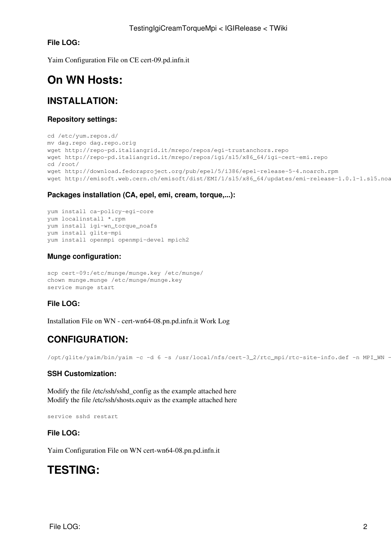# <span id="page-2-0"></span>**File LOG:**

[Yaim Configuration File on CE cert-09.pd.infn.it](https://wiki-igi.cnaf.infn.it/twiki/pub/IGIRelease/TestingIgiCreamTorqueMpi/Configuration-cert-09.log)

# <span id="page-2-1"></span>**On WN Hosts:**

# <span id="page-2-2"></span>**INSTALLATION:**

## <span id="page-2-3"></span>**Repository settings:**

```
cd /etc/yum.repos.d/
mv dag.repo dag.repo.orig
wget http://repo-pd.italiangrid.it/mrepo/repos/egi-trustanchors.repo
wget http://repo-pd.italiangrid.it/mrepo/repos/igi/sl5/x86_64/igi-cert-emi.repo
cd /root/
wget http://download.fedoraproject.org/pub/epel/5/i386/epel-release-5-4.noarch.rpm
wget http://emisoft.web.cern.ch/emisoft/dist/EMI/1/sl5/x86_64/updates/emi-release-1.0.1-1.sl5.noa
```
## <span id="page-2-4"></span>**Packages installation (CA, epel, emi, cream, torque,...):**

```
yum install ca-policy-egi-core
yum localinstall *.rpm
yum install igi-wn_torque_noafs
yum install glite-mpi
yum install openmpi openmpi-devel mpich2
```
# <span id="page-2-5"></span>**Munge configuration:**

```
scp cert-09:/etc/munge/munge.key /etc/munge/
chown munge.munge /etc/munge/munge.key
service munge start
```
# <span id="page-2-6"></span>**File LOG:**

[Installation File on WN - cert-wn64-08.pn.pd.infn.it Work Log](https://wiki-igi.cnaf.infn.it/twiki/pub/IGIRelease/TestingIgiCreamTorqueMpi/InstallCert-wn64-08-WNTroqueMPI.log)

# <span id="page-2-7"></span>**CONFIGURATION:**

/opt/glite/yaim/bin/yaim -c -d 6 -s /usr/local/nfs/cert-3\_2/rtc\_mpi/rtc-site-info.def -n MPI\_WN -

# <span id="page-2-8"></span>**SSH Customization:**

Modify the file /etc/ssh/sshd\_config as the example attached [here](https://wiki-igi.cnaf.infn.it/twiki/pub/IGIRelease/TestingIgiCreamTorqueMpi/sshd_config) Modify the file /etc/ssh/shosts.equiv as the example attached [here](https://wiki-igi.cnaf.infn.it/twiki/pub/IGIRelease/TestingIgiCreamTorqueMpi/shosts.equiv)

service sshd restart

### <span id="page-2-9"></span>**File LOG:**

[Yaim Configuration File on WN cert-wn64-08.pn.pd.infn.it](https://wiki-igi.cnaf.infn.it/twiki/pub/IGIRelease/TestingIgiCreamTorqueMpi/Configuration-cert-wn64-08.log)

# <span id="page-2-10"></span>**TESTING:**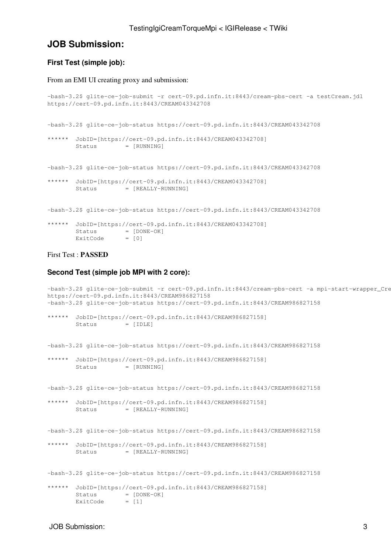# <span id="page-3-0"></span>**JOB Submission:**

### <span id="page-3-1"></span>**First Test (simple job):**

#### From an EMI UI creating proxy and submission:

```
-bash-3.2$ glite-ce-job-submit -r cert-09.pd.infn.it:8443/cream-pbs-cert -a testCream.jdl
https://cert-09.pd.infn.it:8443/CREAM043342708
-bash-3.2$ glite-ce-job-status https://cert-09.pd.infn.it:8443/CREAM043342708
****** JobID=[https://cert-09.pd.infn.it:8443/CREAM043342708]
       Status = [RUNNING]
-bash-3.2$ glite-ce-job-status https://cert-09.pd.infn.it:8443/CREAM043342708
****** JobID=[https://cert-09.pd.infn.it:8443/CREAM043342708]
       Status = [REALLY-RUNNING]
-bash-3.2$ glite-ce-job-status https://cert-09.pd.infn.it:8443/CREAM043342708
****** JobID=[https://cert-09.pd.infn.it:8443/CREAM043342708]
Status = [DONE-OK]
ExitCode = [0]
```
### First Test : **PASSED**

### <span id="page-3-2"></span>**Second Test (simple job MPI with 2 core):**

```
-bash-3.2$ glite-ce-job-submit -r cert-09.pd.infn.it:8443/cream-pbs-cert -a mpi-start-wrapper_Cre
https://cert-09.pd.infn.it:8443/CREAM986827158
-bash-3.2$ glite-ce-job-status https://cert-09.pd.infn.it:8443/CREAM986827158
****** JobID=[https://cert-09.pd.infn.it:8443/CREAM986827158]
       Status = [IDLE]-bash-3.2$ glite-ce-job-status https://cert-09.pd.infn.it:8443/CREAM986827158
****** JobID=[https://cert-09.pd.infn.it:8443/CREAM986827158]
       Status = [RUNNING]
-bash-3.2$ glite-ce-job-status https://cert-09.pd.infn.it:8443/CREAM986827158
****** JobID=[https://cert-09.pd.infn.it:8443/CREAM986827158]
       Status = [REALLY-RUNNING]
-bash-3.2$ glite-ce-job-status https://cert-09.pd.infn.it:8443/CREAM986827158
****** JobID=[https://cert-09.pd.infn.it:8443/CREAM986827158]
       Status = [REALLY-RUNNING]
-bash-3.2$ glite-ce-job-status https://cert-09.pd.infn.it:8443/CREAM986827158
****** JobID=[https://cert-09.pd.infn.it:8443/CREAM986827158]
Status = [DONE-OK]
ExitCode = [1]
```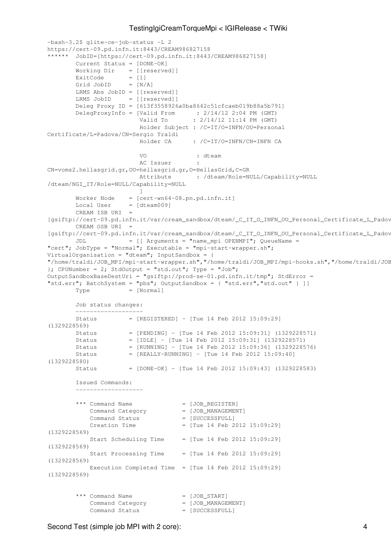```
-bash-3.2$ glite-ce-job-status -L 2
https://cert-09.pd.infn.it:8443/CREAM986827158
****** JobID=[https://cert-09.pd.infn.it:8443/CREAM986827158]
       Current Status = [DONE-OK]
Working Dir = [[reserved]]
ExitCode = [1] Grid JobID = [N/A]
       LRMS Abs JobID = [[reserved]]
       LRMS JobID = [[reserved]]
       Deleg Proxy ID = [613f3558926a0ba8642c51cfcaeb019b88a5b791]
 DelegProxyInfo = [Valid From : 2/14/12 2:04 PM (GMT)
 Valid To : 2/14/12 11:14 PM (GMT)
                       Holder Subject : /C=IT/O=INFN/OU=Personal
Certificate/L=Padova/CN=Sergio Traldi
                       Holder CA : /C=IT/O=INFN/CN=INFN CA
 VO : dteam
AC Issuer :
CN=voms2.hellasgrid.gr,OU=hellasgrid.gr,O=HellasGrid,C=GR
                       Attribute : /dteam/Role=NULL/Capability=NULL
/dteam/NGI_IT/Role=NULL/Capability=NULL
 ]
      Worker Node = [cert-wn64-08.pn.pdf.infn.it]Local User = [dteam009] CREAM ISB URI =
[gsiftp://cert-09.pd.infn.it/var/cream_sandbox/dteam/_C_IT_O_INFN_OU_Personal_Certificate_L_Padov
      CRRAM OSB URT =[gsiftp://cert-09.pd.infn.it/var/cream_sandbox/dteam/_C_IT_O_INFN_OU_Personal_Certificate_L_Padov
       JDL = [[ Arguments = "name_mpi OPENMPI"; QueueName =
"cert"; JobType = "Normal"; Executable = "mpi-start-wrapper.sh";
VirtualOrganisation = "dteam"; InputSandbox = {
"/home/traldi/JOB_MPI/mpi-start-wrapper.sh","/home/traldi/JOB_MPI/mpi-hooks.sh","/home/traldi/JOB
}; CPUNumber = 2; StdOutput = "std.out"; Type = "Job";
OutputSandboxBaseDestUri = "gsiftp://prod-se-01.pd.infn.it/tmp"; StdError =
"std.err"; BatchSystem = "pbs"; OutputSandbox = { "std.err","std.out" } ]]
       Type = [Normal]
       Job status changes:
 -------------------
       Status = [REGISTERED] - [Tue 14 Feb 2012 15:09:29]
(1329228569)
 Status = [PENDING] - [Tue 14 Feb 2012 15:09:31] (1329228571)
 Status = [IDLE] - [Tue 14 Feb 2012 15:09:31] (1329228571)
       Status = [RUNNING] - [Tue 14 Feb 2012 15:09:36] (1329228576)
       Status = [REALLY-RUNNING] - [Tue 14 Feb 2012 15:09:40]
(1329228580)
       Status = [DONE-OK] - [Tue 14 Feb 2012 15:09:43] (1329228583)
        Issued Commands:
        -------------------
       *** Command Name = [JOB REGISTER]
          Command Category = [JOB_MANAGEMENT]
          Command Status = [SUCCESSFULL]
          C_{\text{reaction Time}} = [Tue 14 Feb 2012 15:09:29]
(1329228569)
          Start Scheduling Time = [Tue 14 Feb 2012 15:09:29]
(1329228569)
          Start Processing Time = [Tue 14 Feb 2012 15:09:29]
(1329228569)
           Execution Completed Time = [Tue 14 Feb 2012 15:09:29]
(1329228569)
       *** Command Name = [JOB START]
          Command Category = [JOB_MANAGEMENT]
          Command Status = [SUCCESSFULL]
```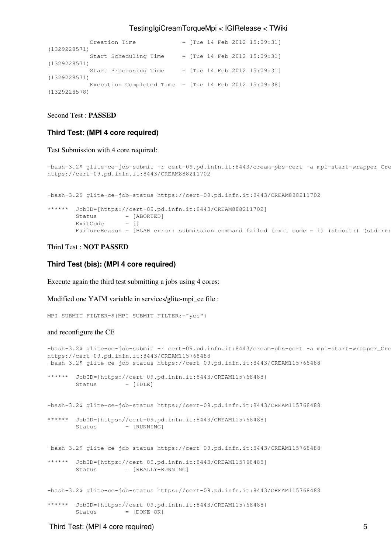|              | Creation Time                                                                      |  |  | $=$ [Tue 14 Feb 2012 15:09:31] |
|--------------|------------------------------------------------------------------------------------|--|--|--------------------------------|
| (1329228571) |                                                                                    |  |  |                                |
|              | Start Scheduling Time                                                              |  |  | $=$ [Tue 14 Feb 2012 15:09:31] |
| (1329228571) |                                                                                    |  |  |                                |
|              | Start Processing Time                                                              |  |  | $=$ [Tue 14 Feb 2012 15:09:31] |
| (1329228571) |                                                                                    |  |  |                                |
|              | Execution Completed Time = $\lceil \text{Tue} \rceil 14 \rceil$ Feb 2012 15:09:38] |  |  |                                |
| (1329228578) |                                                                                    |  |  |                                |
|              |                                                                                    |  |  |                                |

### Second Test : **PASSED**

### <span id="page-5-0"></span>**Third Test: (MPI 4 core required)**

#### Test Submission with 4 core required:

```
-bash-3.2$ glite-ce-job-submit -r cert-09.pd.infn.it:8443/cream-pbs-cert -a mpi-start-wrapper_Cre
https://cert-09.pd.infn.it:8443/CREAM888211702
```
-bash-3.2\$ glite-ce-job-status https://cert-09.pd.infn.it:8443/CREAM888211702

```
****** JobID=[https://cert-09.pd.infn.it:8443/CREAM888211702]
Status = [ABORTED]
ExitCode = []
      FailureReason = [BLAH error: submission command failed (exit code = 1) (stdout:) (stderr:
```
### Third Test : **NOT PASSED**

### <span id="page-5-1"></span>**Third Test (bis): (MPI 4 core required)**

Execute again the third test submitting a jobs using 4 cores:

Modified one YAIM variable in services/glite-mpi\_ce file :

```
MPI_SUBMIT_FILTER=${MPI_SUBMIT_FILTER:-"yes"}
```
### and reconfigure the CE

```
-bash-3.2$ glite-ce-job-submit -r cert-09.pd.infn.it:8443/cream-pbs-cert -a mpi-start-wrapper_Cre
https://cert-09.pd.infn.it:8443/CREAM115768488
-bash-3.2$ glite-ce-job-status https://cert-09.pd.infn.it:8443/CREAM115768488
****** JobID=[https://cert-09.pd.infn.it:8443/CREAM115768488]
       Status = [IDLE]-bash-3.2$ glite-ce-job-status https://cert-09.pd.infn.it:8443/CREAM115768488
****** JobID=[https://cert-09.pd.infn.it:8443/CREAM115768488]
       Status = [RUNNING]
-bash-3.2$ glite-ce-job-status https://cert-09.pd.infn.it:8443/CREAM115768488
****** JobID=[https://cert-09.pd.infn.it:8443/CREAM115768488]
       Status = [REALLY-RUNNING]
-bash-3.2$ glite-ce-job-status https://cert-09.pd.infn.it:8443/CREAM115768488
****** JobID=[https://cert-09.pd.infn.it:8443/CREAM115768488]
       Status = [DONE-OK]
```
#### Third Test: (MPI 4 core required) 5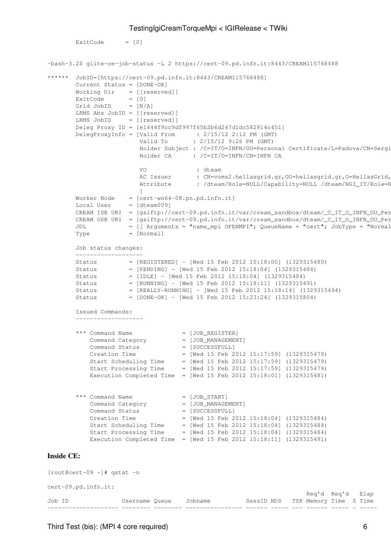```
ExistCode = [0]
```

```
-bash-3.2$ glite-ce-job-status -L 2 https://cert-09.pd.infn.it:8443/CREAM115768488
****** JobID=[https://cert-09.pd.infn.it:8443/CREAM115768488]
        Current Status = [DONE-OK]
Working Dir = [[reserved]]
ExitCode = [0]Ext{\circ}<br>Grid JobID = [N/A] LRMS Abs JobID = [[reserved]]
        LRMS JobID = [[reserved]]
        Deleg Proxy ID = [e1444f9cc9df997f65b2b6d247d1dc582814c451]
 DelegProxyInfo = [Valid From : 2/15/12 2:12 PM (GMT)
 Valid To : 2/15/12 9:26 PM (GMT)
                       Holder Subject : /C=IT/O=INFN/OU=Personal Certificate/L=Padova/CN=Sergi
                        Holder CA : /C=IT/O=INFN/CN=INFN CA
                       VO : dteam<br>
AC Issuer : CN=von<br>
Attribute : /dteam
                                    : CN=voms2.hellasgrid.gr,OU=hellasgrid.gr,O=HellasGrid,
                                     : /dteam/Role=NULL/Capability=NULL /dteam/NGI_IT/Role=N
 ]
        Worker Node = [cert-wn64-08.pn.pd.infn.it]
       Local User = [dteam009]
       CREAM ISB URI = [qsiftp://cert-09.pdf.infn.it/var/cream_sandbox/dteam\_C_IT_0_INFN_0U_PerCREAM OSB URI = [qsiftp://cert-09.pdf.infn.it/var/cream\_sandbox/dteam_C ITO INFN-OU-PerJDL = [[ Arquments = "name_mpi OPENMPI"; QueueName = "cert"; JobType = "Normal
       Type = [Normal] Job status changes:
 -------------------
 Status = [REGISTERED] - [Wed 15 Feb 2012 15:18:00] (1329315480)
 Status = [PENDING] - [Wed 15 Feb 2012 15:18:04] (1329315484)
 Status = [IDLE] - [Wed 15 Feb 2012 15:18:04] (1329315484)
        Status = [RUNNING] - [Wed 15 Feb 2012 15:18:11] (1329315491)
        Status = [REALLY-RUNNING] - [Wed 15 Feb 2012 15:18:14] (1329315494)
        Status = [DONE-OK] - [Wed 15 Feb 2012 15:23:24] (1329315804)
        Issued Commands:
         -------------------
       *** Command Name = [JOB_REGISTER]
          Command Category = [JOB_MANAGEMENT]<br>Command Status = [SUCCESSFULL]
          Command Status
          Creation Time = [Wed 15 Feb 2012 15:17:59] (1329315479)
 Start Scheduling Time = [Wed 15 Feb 2012 15:17:59] (1329315479)
 Start Processing Time = [Wed 15 Feb 2012 15:17:59] (1329315479)
 Execution Completed Time = [Wed 15 Feb 2012 15:18:01] (1329315481)
       *** Command Name = [JOB_START]
          Command Category = [JOB_MANAGEMENT]
          Command Status = [SUCCESSFULL]
           Creation Time = [Wed 15 Feb 2012 15:18:04] (1329315484)
 Start Scheduling Time = [Wed 15 Feb 2012 15:18:04] (1329315484)
 Start Processing Time = [Wed 15 Feb 2012 15:18:04] (1329315484)
           Execution Completed Time = [Wed 15 Feb 2012 15:18:11] (1329315491)
Inside CE:
[root@cert-09 ~]# qstat -n
```
cert-09.pd.infn.it:

|        |                        |  |                                   |  | Req'd Req'd Elap |  |  |
|--------|------------------------|--|-----------------------------------|--|------------------|--|--|
| Job ID | Username Oueue Jobname |  | SessID NDS ISK Memory Time S Time |  |                  |  |  |
|        |                        |  |                                   |  |                  |  |  |